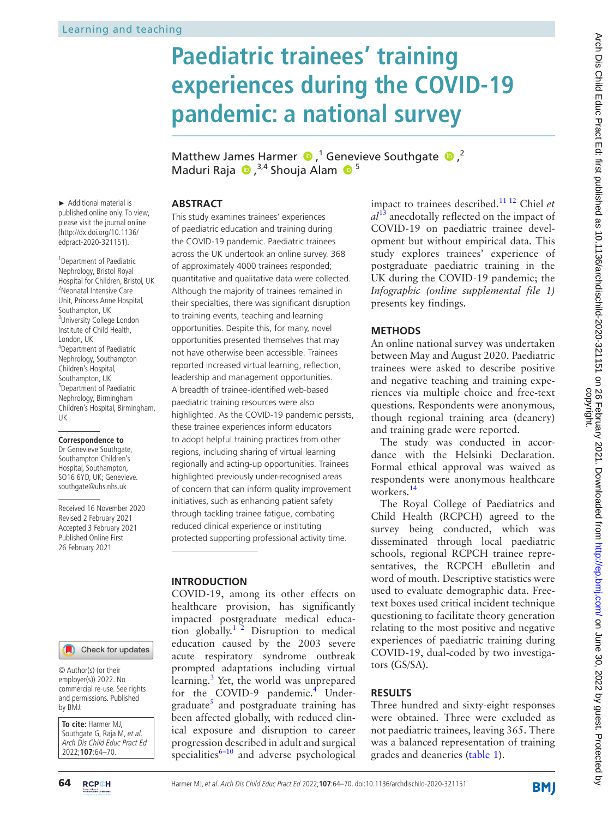# **Paediatric trainees' training experiences during the COVID-19 pandemic: a national survey**

Matthew James Harmer  $\bullet$ ,<sup>1</sup> Genevieve Southgate  $\bullet$ ,<sup>2</sup> Maduri Raja  $\bullet$ , 3,4 Shouja Alam  $\bullet$ <sup>5</sup>

► Additional material is published online only. To view, please visit the journal online (http://dx.doi.org/10.1136/ edpract-2020-321151).

<sup>1</sup> Department of Paediatric Nephrology, Bristol Royal Hospital for Children, Bristol, UK <sup>2</sup>Neonatal Intensive Care Unit, Princess Anne Hospital, Southampton, UK <sup>3</sup>University College London Institute of Child Health, London, UK 4 Department of Paediatric Nephrology, Southampton Children's Hospital Southampton, UK <sup>5</sup>Department of Paediatric Nephrology, Birmingham Children's Hospital, Birmingham, UK

**Correspondence to**

Dr Genevieve Southgate, Southampton Children's Hospital, Southampton, SO16 6YD, UK; Genevieve. southgate@uhs.nhs.uk

Received 16 November 2020 Revised 2 February 2021 Accepted 3 February 2021 Published Online First 26 February 2021



© Author(s) (or their employer(s)) 2022. No commercial re-use. See rights and permissions. Published by BMJ.

**To cite:** Harmer MJ, Southgate G, Raja M, et al. Arch Dis Child Educ Pract Ed 2022;**107**:64–70.

## **ABSTRACT**

This study examines trainees' experiences of paediatric education and training during the COVID-19 pandemic. Paediatric trainees across the UK undertook an online survey. 368 of approximately 4000 trainees responded; quantitative and qualitative data were collected. Although the majority of trainees remained in their specialties, there was significant disruption to training events, teaching and learning opportunities. Despite this, for many, novel opportunities presented themselves that may not have otherwise been accessible. Trainees reported increased virtual learning, reflection, leadership and management opportunities. A breadth of trainee-identified web-based paediatric training resources were also highlighted. As the COVID-19 pandemic persists, these trainee experiences inform educators to adopt helpful training practices from other regions, including sharing of virtual learning regionally and acting-up opportunities. Trainees highlighted previously under-recognised areas of concern that can inform quality improvement initiatives, such as enhancing patient safety through tackling trainee fatigue, combating reduced clinical experience or instituting protected supporting professional activity time.

### **INTRODUCTION**

COVID-19, among its other effects on healthcare provision, has significantly impacted postgraduate medical educa-tion globally.<sup>[1 2](#page-5-0)</sup> Disruption to medical education caused by the 2003 severe acute respiratory syndrome outbreak prompted adaptations including virtual learning.<sup>3</sup> Yet, the world was unprepared for the COVID-9 pandemic.<sup>[4](#page-5-2)</sup> Under-graduate<sup>[5](#page-5-3)</sup> and postgraduate training has been affected globally, with reduced clinical exposure and disruption to career progression described in adult and surgical specialities $6-10$  and adverse psychological

impact to trainees described[.11 12](#page-6-0) Chiel *et al*[13](#page-6-1) anecdotally reflected on the impact of COVID-19 on paediatric trainee development but without empirical data. This study explores trainees' experience of postgraduate paediatric training in the UK during the COVID-19 pandemic; the *Infographic ([online supplemental file 1](https://dx.doi.org/10.1136/edpract-2020-321151))* presents key findings.

# **METHODS**

An online national survey was undertaken between May and August 2020. Paediatric trainees were asked to describe positive and negative teaching and training experiences via multiple choice and free-text questions. Respondents were anonymous, though regional training area (deanery) and training grade were reported.

The study was conducted in accordance with the Helsinki Declaration. Formal ethical approval was waived as respondents were anonymous healthcare workers.[14](#page-6-2)

The Royal College of Paediatrics and Child Health (RCPCH) agreed to the survey being conducted, which was disseminated through local paediatric schools, regional RCPCH trainee representatives, the RCPCH eBulletin and word of mouth. Descriptive statistics were used to evaluate demographic data. Freetext boxes used critical incident technique questioning to facilitate theory generation relating to the most positive and negative experiences of paediatric training during COVID-19, dual-coded by two investigators (GS/SA).

# **RESULTS**

Three hundred and sixty-eight responses were obtained. Three were excluded as not paediatric trainees, leaving 365. There was a balanced representation of training grades and deaneries ([table](#page-1-0) 1).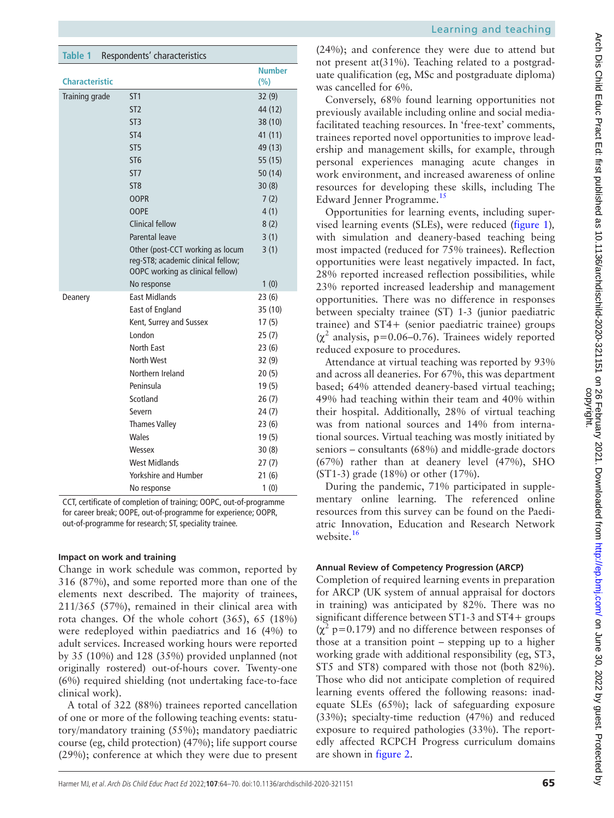<span id="page-1-0"></span>

| <b>Table 1</b>        | Respondents' characteristics                                                                               |               |
|-----------------------|------------------------------------------------------------------------------------------------------------|---------------|
|                       |                                                                                                            | <b>Number</b> |
| <b>Characteristic</b> |                                                                                                            | (%)           |
| Training grade        | ST <sub>1</sub>                                                                                            | 32(9)         |
|                       | ST <sub>2</sub>                                                                                            | 44 (12)       |
|                       | ST <sub>3</sub>                                                                                            | 38 (10)       |
|                       | ST <sub>4</sub>                                                                                            | 41 (11)       |
|                       | ST <sub>5</sub>                                                                                            | 49 (13)       |
|                       | ST <sub>6</sub>                                                                                            | 55 (15)       |
|                       | ST <sub>7</sub>                                                                                            | 50 (14)       |
|                       | ST <sub>8</sub>                                                                                            | 30(8)         |
|                       | <b>OOPR</b>                                                                                                | 7(2)          |
|                       | <b>OOPE</b>                                                                                                | 4(1)          |
|                       | Clinical fellow                                                                                            | 8(2)          |
|                       | Parental leave                                                                                             | 3(1)          |
|                       | Other (post-CCT working as locum<br>reg-ST8; academic clinical fellow;<br>OOPC working as clinical fellow) | 3(1)          |
|                       | No response                                                                                                | 1(0)          |
| Deanery               | <b>Fast Midlands</b>                                                                                       | 23 (6)        |
|                       | East of England                                                                                            | 35 (10)       |
|                       | Kent, Surrey and Sussex                                                                                    | 17(5)         |
|                       | I ondon                                                                                                    | 25(7)         |
|                       | North Fast                                                                                                 | 23(6)         |
|                       | <b>North West</b>                                                                                          | 32 (9)        |
|                       | Northern Ireland                                                                                           | 20(5)         |
|                       | Peninsula                                                                                                  | 19(5)         |
|                       | Scotland                                                                                                   | 26(7)         |
|                       | Severn                                                                                                     | 24 (7)        |
|                       | <b>Thames Valley</b>                                                                                       | 23(6)         |
|                       | Wales                                                                                                      | 19(5)         |
|                       | Wessex                                                                                                     | 30(8)         |
|                       | <b>West Midlands</b>                                                                                       | 27(7)         |
|                       | <b>Yorkshire and Humber</b>                                                                                | 21(6)         |
|                       | No response                                                                                                | 1(0)          |

CCT, certificate of completion of training; OOPC, out-of-programme for career break; OOPE, out-of-programme for experience; OOPR, out-of-programme for research; ST, speciality trainee.

#### **Impact on work and training**

Change in work schedule was common, reported by 316 (87%), and some reported more than one of the elements next described. The majority of trainees, 211/365 (57%), remained in their clinical area with rota changes. Of the whole cohort (365), 65 (18%) were redeployed within paediatrics and 16 (4%) to adult services. Increased working hours were reported by 35 (10%) and 128 (35%) provided unplanned (not originally rostered) out-of-hours cover. Twenty-one (6%) required shielding (not undertaking face-to-face clinical work).

A total of 322 (88%) trainees reported cancellation of one or more of the following teaching events: statutory/mandatory training (55%); mandatory paediatric course (eg, child protection) (47%); life support course (29%); conference at which they were due to present

(24%); and conference they were due to attend but not present at(31%). Teaching related to a postgraduate qualification (eg, MSc and postgraduate diploma) was cancelled for 6%.

Conversely, 68% found learning opportunities not previously available including online and social mediafacilitated teaching resources. In 'free-text' comments, trainees reported novel opportunities to improve leadership and management skills, for example, through personal experiences managing acute changes in work environment, and increased awareness of online resources for developing these skills, including The Edward Jenner Programme.<sup>[15](#page-6-3)</sup>

Opportunities for learning events, including supervised learning events (SLEs), were reduced [\(figure](#page-2-0) 1)*,* with simulation and deanery-based teaching being most impacted (reduced for 75% trainees). Reflection opportunities were least negatively impacted. In fact, 28% reported increased reflection possibilities, while 23% reported increased leadership and management opportunities. There was no difference in responses between specialty trainee (ST) 1-3 (junior paediatric trainee) and ST4+ (senior paediatric trainee) groups  $(\chi^2$  analysis, p=0.06–0.76). Trainees widely reported reduced exposure to procedures.

Attendance at virtual teaching was reported by 93% and across all deaneries. For 67%, this was department based; 64% attended deanery-based virtual teaching; 49% had teaching within their team and 40% within their hospital. Additionally, 28% of virtual teaching was from national sources and 14% from international sources. Virtual teaching was mostly initiated by seniors – consultants (68%) and middle-grade doctors (67%) rather than at deanery level (47%), SHO (ST1-3) grade (18%) or other (17%).

During the pandemic, 71% participated in supplementary online learning. The referenced online resources from this survey can be found on the Paediatric Innovation, Education and Research Network website.<sup>16</sup>

### **Annual Review of Competency Progression (ARCP)**

Completion of required learning events in preparation for ARCP (UK system of annual appraisal for doctors in training) was anticipated by 82%. There was no significant difference between ST1-3 and ST4+ groups  $(\chi^2 \text{ p}=0.179)$  and no difference between responses of those at a transition point – stepping up to a higher working grade with additional responsibility (eg, ST3, ST5 and ST8) compared with those not (both 82%). Those who did not anticipate completion of required learning events offered the following reasons: inadequate SLEs (65%); lack of safeguarding exposure (33%); specialty-time reduction (47%) and reduced exposure to required pathologies (33%). The reportedly affected RCPCH Progress curriculum domains are shown in [figure](#page-3-0) 2.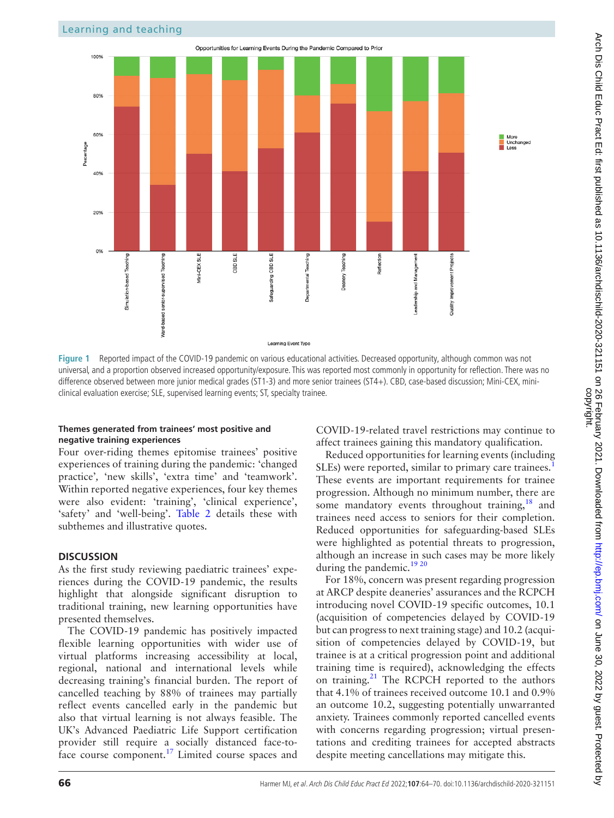

<span id="page-2-0"></span>**Figure 1** Reported impact of the COVID-19 pandemic on various educational activities. Decreased opportunity, although common was not universal, and a proportion observed increased opportunity/exposure. This was reported most commonly in opportunity for reflection. There was no difference observed between more junior medical grades (ST1-3) and more senior trainees (ST4+). CBD, case-based discussion; Mini-CEX, miniclinical evaluation exercise; SLE, supervised learning events; ST, specialty trainee.

#### **Themes generated from trainees' most positive and negative training experiences**

Four over-riding themes epitomise trainees' positive experiences of training during the pandemic: 'changed practice'*,* 'new skills', 'extra time' and 'teamwork'. Within reported negative experiences, four key themes were also evident: 'training', 'clinical experience', 'safety' and 'well-being'. [Table](#page-4-0) 2 details these with subthemes and illustrative quotes.

#### **DISCUSSION**

As the first study reviewing paediatric trainees' experiences during the COVID-19 pandemic, the results highlight that alongside significant disruption to traditional training, new learning opportunities have presented themselves.

The COVID-19 pandemic has positively impacted flexible learning opportunities with wider use of virtual platforms increasing accessibility at local, regional, national and international levels while decreasing training's financial burden. The report of cancelled teaching by 88% of trainees may partially reflect events cancelled early in the pandemic but also that virtual learning is not always feasible. The UK's Advanced Paediatric Life Support certification provider still require a socially distanced face-to-face course component.<sup>[17](#page-6-5)</sup> Limited course spaces and

COVID-19-related travel restrictions may continue to affect trainees gaining this mandatory qualification.

Reduced opportunities for learning events (including SLEs) were reported, similar to primary care trainees. These events are important requirements for trainee progression. Although no minimum number, there are some mandatory events throughout training, $18$  and trainees need access to seniors for their completion. Reduced opportunities for safeguarding-based SLEs were highlighted as potential threats to progression, although an increase in such cases may be more likely during the pandemic.<sup>[19 20](#page-6-7)</sup>

For 18%, concern was present regarding progression at ARCP despite deaneries' assurances and the RCPCH introducing novel COVID-19 specific outcomes, 10.1 (acquisition of competencies delayed by COVID-19 but can progress to next training stage) and 10.2 (acquisition of competencies delayed by COVID-19, but trainee is at a critical progression point and additional training time is required), acknowledging the effects on training.<sup>[21](#page-6-8)</sup> The RCPCH reported to the authors that 4.1% of trainees received outcome 10.1 and 0.9% an outcome 10.2, suggesting potentially unwarranted anxiety. Trainees commonly reported cancelled events with concerns regarding progression; virtual presentations and crediting trainees for accepted abstracts despite meeting cancellations may mitigate this.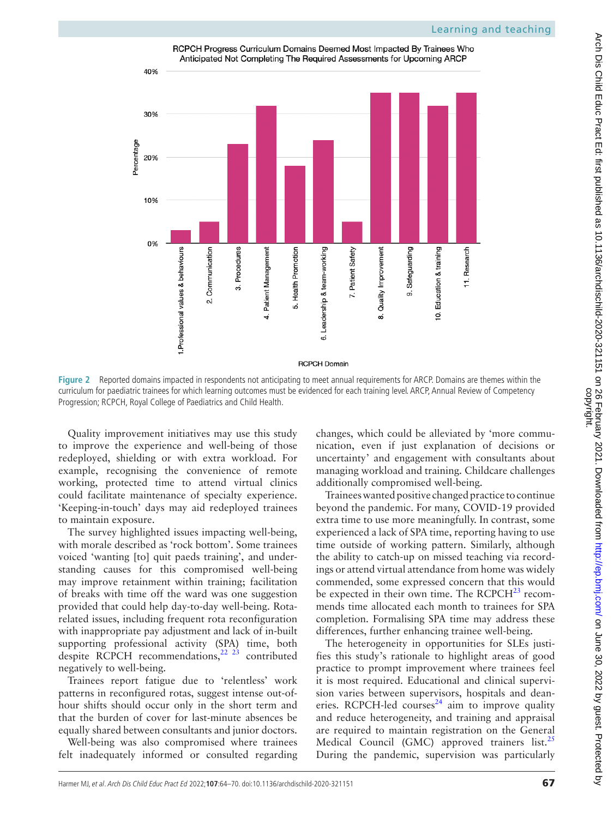RCPCH Progress Curriculum Domains Deemed Most Impacted By Trainees Who Anticipated Not Completing The Required Assessments for Upcoming ARCP



**Figure 2** Reported domains impacted in respondents not anticipating to meet annual requirements for ARCP. Domains are themes within the curriculum for paediatric trainees for which learning outcomes must be evidenced for each training level. ARCP, Annual Review of Competency Progression; RCPCH, Royal College of Paediatrics and Child Health.

Quality improvement initiatives may use this study to improve the experience and well-being of those redeployed, shielding or with extra workload. For example, recognising the convenience of remote working, protected time to attend virtual clinics could facilitate maintenance of specialty experience. 'Keeping-in-touch' days may aid redeployed trainees to maintain exposure.

The survey highlighted issues impacting well-being, with morale described as 'rock bottom'. Some trainees voiced 'wanting [to] quit paeds training', and understanding causes for this compromised well-being may improve retainment within training; facilitation of breaks with time off the ward was one suggestion provided that could help day-to-day well-being. Rotarelated issues, including frequent rota reconfiguration with inappropriate pay adjustment and lack of in-built supporting professional activity (SPA) time, both despite RCPCH recommendations,<sup>22</sup> <sup>23</sup> contributed negatively to well-being.

Trainees report fatigue due to 'relentless' work patterns in reconfigured rotas, suggest intense out-ofhour shifts should occur only in the short term and that the burden of cover for last-minute absences be equally shared between consultants and junior doctors.

Well-being was also compromised where trainees felt inadequately informed or consulted regarding <span id="page-3-0"></span>changes, which could be alleviated by 'more communication, even if just explanation of decisions or uncertainty' and engagement with consultants about managing workload and training. Childcare challenges additionally compromised well-being.

Trainees wanted positive changed practice to continue beyond the pandemic. For many, COVID-19 provided extra time to use more meaningfully. In contrast, some experienced a lack of SPA time, reporting having to use time outside of working pattern. Similarly, although the ability to catch-up on missed teaching via recordings or attend virtual attendance from home was widely commended, some expressed concern that this would be expected in their own time. The  $RCPCH<sup>23</sup>$  $RCPCH<sup>23</sup>$  $RCPCH<sup>23</sup>$  recommends time allocated each month to trainees for SPA completion. Formalising SPA time may address these differences, further enhancing trainee well-being.

The heterogeneity in opportunities for SLEs justifies this study's rationale to highlight areas of good practice to prompt improvement where trainees feel it is most required. Educational and clinical supervision varies between supervisors, hospitals and deaneries. RCPCH-led courses<sup>24</sup> aim to improve quality and reduce heterogeneity, and training and appraisal are required to maintain registration on the General Medical Council (GMC) approved trainers list.<sup>25</sup> During the pandemic, supervision was particularly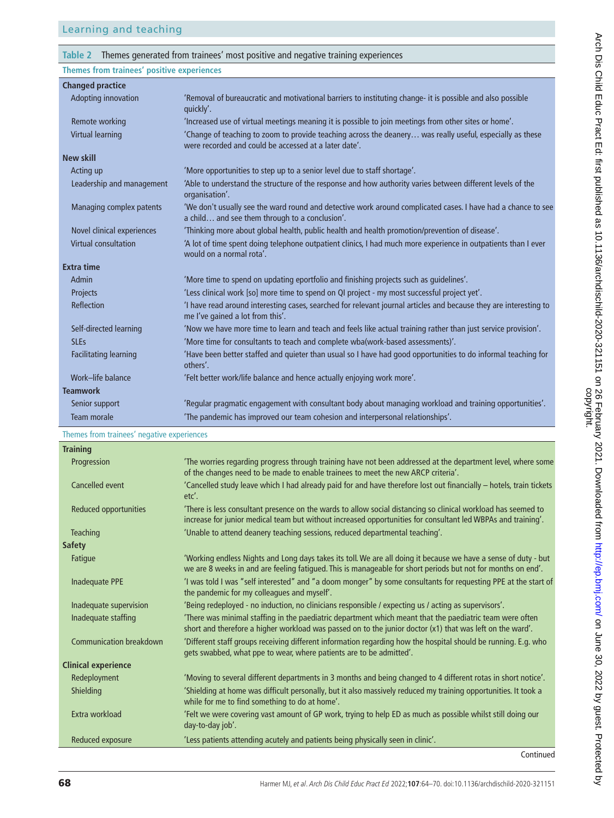#### <span id="page-4-0"></span>**Table 2** Themes generated from trainees' most positive and negative training experiences

**Themes from trainees' positive experiences**

| <b>Changed practice</b>      |                                                                                                                                                                    |
|------------------------------|--------------------------------------------------------------------------------------------------------------------------------------------------------------------|
| Adopting innovation          | 'Removal of bureaucratic and motivational barriers to instituting change- it is possible and also possible<br>quickly'.                                            |
| Remote working               | 'Increased use of virtual meetings meaning it is possible to join meetings from other sites or home'.                                                              |
| Virtual learning             | 'Change of teaching to zoom to provide teaching across the deanery was really useful, especially as these<br>were recorded and could be accessed at a later date'. |
| <b>New skill</b>             |                                                                                                                                                                    |
| Acting up                    | 'More opportunities to step up to a senior level due to staff shortage'.                                                                                           |
| Leadership and management    | 'Able to understand the structure of the response and how authority varies between different levels of the<br>organisation'.                                       |
| Managing complex patents     | 'We don't usually see the ward round and detective work around complicated cases. I have had a chance to see<br>a child and see them through to a conclusion'.     |
| Novel clinical experiences   | 'Thinking more about global health, public health and health promotion/prevention of disease'.                                                                     |
| <b>Virtual consultation</b>  | A lot of time spent doing telephone outpatient clinics, I had much more experience in outpatients than I ever<br>would on a normal rota'.                          |
| <b>Extra time</b>            |                                                                                                                                                                    |
| Admin                        | 'More time to spend on updating eportfolio and finishing projects such as quidelines'.                                                                             |
| Projects                     | 'Less clinical work [so] more time to spend on QI project - my most successful project yet'.                                                                       |
| Reflection                   | 'I have read around interesting cases, searched for relevant journal articles and because they are interesting to<br>me I've gained a lot from this'.              |
| Self-directed learning       | 'Now we have more time to learn and teach and feels like actual training rather than just service provision'.                                                      |
| <b>SLEs</b>                  | 'More time for consultants to teach and complete wba(work-based assessments)'.                                                                                     |
| <b>Facilitating learning</b> | 'Have been better staffed and quieter than usual so I have had good opportunities to do informal teaching for<br>others'.                                          |
| Work-life balance            | 'Felt better work/life balance and hence actually enjoying work more'.                                                                                             |
| <b>Teamwork</b>              |                                                                                                                                                                    |
| Senior support               | 'Regular pragmatic engagement with consultant body about managing workload and training opportunities'.                                                            |
| Team morale                  | 'The pandemic has improved our team cohesion and interpersonal relationships'.                                                                                     |

#### Themes from trainees' negative experiences

| <b>Training</b>            |                                                                                                                                                                                                                                 |
|----------------------------|---------------------------------------------------------------------------------------------------------------------------------------------------------------------------------------------------------------------------------|
| Progression                | The worries regarding progress through training have not been addressed at the department level, where some<br>of the changes need to be made to enable trainees to meet the new ARCP criteria'.                                |
| Cancelled event            | 'Cancelled study leave which I had already paid for and have therefore lost out financially - hotels, train tickets<br>etc'.                                                                                                    |
| Reduced opportunities      | There is less consultant presence on the wards to allow social distancing so clinical workload has seemed to<br>increase for junior medical team but without increased opportunities for consultant led WBPAs and training'.    |
| <b>Teaching</b>            | 'Unable to attend deanery teaching sessions, reduced departmental teaching'.                                                                                                                                                    |
| <b>Safety</b>              |                                                                                                                                                                                                                                 |
| Fatigue                    | 'Working endless Nights and Long days takes its toll. We are all doing it because we have a sense of duty - but<br>we are 8 weeks in and are feeling fatigued. This is manageable for short periods but not for months on end'. |
| <b>Inadequate PPE</b>      | 'I was told I was "self interested" and "a doom monger" by some consultants for requesting PPE at the start of<br>the pandemic for my colleagues and myself'.                                                                   |
| Inadequate supervision     | 'Being redeployed - no induction, no clinicians responsible / expecting us / acting as supervisors'.                                                                                                                            |
| Inadequate staffing        | There was minimal staffing in the paediatric department which meant that the paediatric team were often<br>short and therefore a higher workload was passed on to the junior doctor (x1) that was left on the ward'.            |
| Communication breakdown    | 'Different staff groups receiving different information regarding how the hospital should be running. E.g. who<br>gets swabbed, what ppe to wear, where patients are to be admitted'.                                           |
| <b>Clinical experience</b> |                                                                                                                                                                                                                                 |
| Redeployment               | 'Moving to several different departments in 3 months and being changed to 4 different rotas in short notice'.                                                                                                                   |
| <b>Shielding</b>           | 'Shielding at home was difficult personally, but it also massively reduced my training opportunities. It took a<br>while for me to find something to do at home'.                                                               |
| Extra workload             | 'Felt we were covering vast amount of GP work, trying to help ED as much as possible whilst still doing our<br>day-to-day job'.                                                                                                 |
| Reduced exposure           | 'Less patients attending acutely and patients being physically seen in clinic'.                                                                                                                                                 |
|                            |                                                                                                                                                                                                                                 |

Continued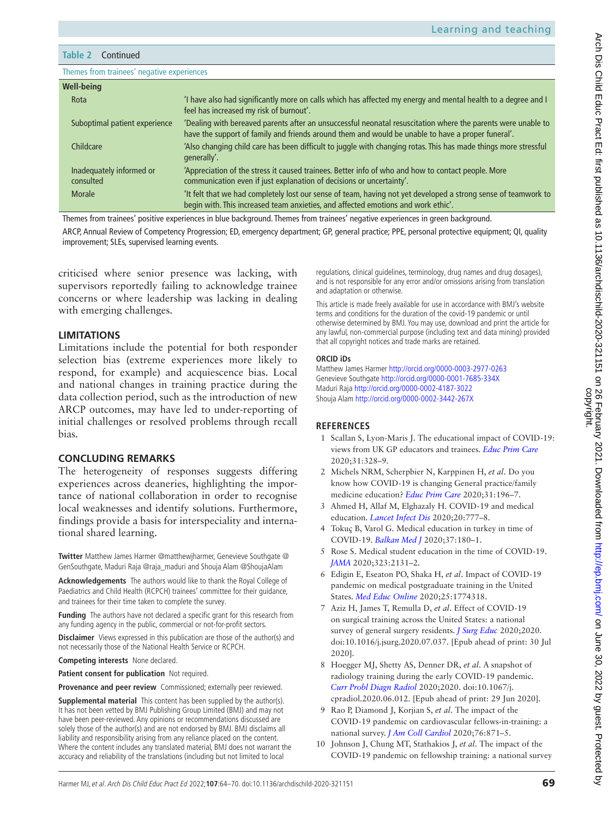**Table 2** Continued

Themes from trainees' negative experiences

| <b>Well-being</b>                     |                                                                                                                                                                                                                   |
|---------------------------------------|-------------------------------------------------------------------------------------------------------------------------------------------------------------------------------------------------------------------|
| Rota                                  | 'I have also had significantly more on calls which has affected my energy and mental health to a degree and I<br>feel has increased my risk of burnout'.                                                          |
| Suboptimal patient experience         | 'Dealing with bereaved parents after an unsuccessful neonatal resuscitation where the parents were unable to<br>have the support of family and friends around them and would be unable to have a proper funeral'. |
| Childcare                             | 'Also changing child care has been difficult to juggle with changing rotas. This has made things more stressful<br>generally'.                                                                                    |
| Inadequately informed or<br>consulted | 'Appreciation of the stress it caused trainees. Better info of who and how to contact people. More<br>communication even if just explanation of decisions or uncertainty'.                                        |
| Morale                                | It felt that we had completely lost our sense of team, having not yet developed a strong sense of teamwork to<br>begin with. This increased team anxieties, and affected emotions and work ethic'.                |
|                                       |                                                                                                                                                                                                                   |

Themes from trainees' positive experiences in blue background. Themes from trainees' negative experiences in green background. ARCP, Annual Review of Competency Progression; ED, emergency department; GP, general practice; PPE, personal protective equipment; QI, quality improvement; SLEs, supervised learning events.

criticised where senior presence was lacking, with supervisors reportedly failing to acknowledge trainee concerns or where leadership was lacking in dealing with emerging challenges.

#### **LIMITATIONS**

Limitations include the potential for both responder selection bias (extreme experiences more likely to respond, for example) and acquiescence bias. Local and national changes in training practice during the data collection period, such as the introduction of new ARCP outcomes, may have led to under-reporting of initial challenges or resolved problems through recall bias.

### **CONCLUDING REMARKS**

The heterogeneity of responses suggests differing experiences across deaneries, highlighting the importance of national collaboration in order to recognise local weaknesses and identify solutions. Furthermore, findings provide a basis for interspeciality and international shared learning.

**Twitter** Matthew James Harmer [@matthewjharmer](https://twitter.com/matthewjharmer), Genevieve Southgate [@](https://twitter.com/GenSouthgate) [GenSouthgate,](https://twitter.com/GenSouthgate) Maduri Raja [@raja\\_maduri](https://twitter.com/raja_maduri) and Shouja Alam [@ShoujaAlam](https://twitter.com/ShoujaAlam)

**Acknowledgements** The authors would like to thank the Royal College of Paediatrics and Child Health (RCPCH) trainees' committee for their guidance, and trainees for their time taken to complete the survey.

**Funding** The authors have not declared a specific grant for this research from any funding agency in the public, commercial or not-for-profit sectors.

**Disclaimer** Views expressed in this publication are those of the author(s) and not necessarily those of the National Health Service or RCPCH.

**Competing interests** None declared.

**Patient consent for publication** Not required.

**Provenance and peer review** Commissioned; externally peer reviewed.

**Supplemental material** This content has been supplied by the author(s). It has not been vetted by BMJ Publishing Group Limited (BMJ) and may not have been peer-reviewed. Any opinions or recommendations discussed are solely those of the author(s) and are not endorsed by BMJ. BMJ disclaims all liability and responsibility arising from any reliance placed on the content. Where the content includes any translated material, BMJ does not warrant the accuracy and reliability of the translations (including but not limited to local

regulations, clinical guidelines, terminology, drug names and drug dosages), and is not responsible for any error and/or omissions arising from translation and adaptation or otherwise.

This article is made freely available for use in accordance with BMJ's website terms and conditions for the duration of the covid-19 pandemic or until otherwise determined by BMJ. You may use, download and print the article for any lawful, non-commercial purpose (including text and data mining) provided that all copyright notices and trade marks are retained.

#### **ORCID iDs**

Matthew James Harmer <http://orcid.org/0000-0003-2977-0263> Genevieve Southgate<http://orcid.org/0000-0001-7685-334X> Maduri Raja<http://orcid.org/0000-0002-4187-3022> Shouja Alam <http://orcid.org/0000-0002-3442-267X>

### **REFERENCES**

- <span id="page-5-0"></span>1 Scallan S, Lyon-Maris J. The educational impact of COVID-19: views from UK GP educators and trainees. *[Educ Prim Care](http://dx.doi.org/10.1080/14739879.2020.1806736)* 2020;31:328–9.
- 2 Michels NRM, Scherpbier N, Karppinen H, *et al*. Do you know how COVID-19 is changing General practice/family medicine education? *[Educ Prim Care](http://dx.doi.org/10.1080/14739879.2020.1755609)* 2020;31:196–7.
- <span id="page-5-1"></span>3 Ahmed H, Allaf M, Elghazaly H. COVID-19 and medical education. *[Lancet Infect Dis](http://dx.doi.org/10.1016/S1473-3099(20)30226-7)* 2020;20:777–8.
- <span id="page-5-2"></span>4 Tokuç B, Varol G. Medical education in turkey in time of COVID-19. *[Balkan Med J](http://dx.doi.org/10.4274/balkanmedj.galenos.2020.2020.4.003)* 2020;37:180–1.
- <span id="page-5-3"></span>5 Rose S. Medical student education in the time of COVID-19. *[JAMA](http://dx.doi.org/10.1001/jama.2020.5227)* 2020;323:2131–2.
- <span id="page-5-4"></span>6 Edigin E, Eseaton PO, Shaka H, *et al*. Impact of COVID-19 pandemic on medical postgraduate training in the United States. *[Med Educ Online](http://dx.doi.org/10.1080/10872981.2020.1774318)* 2020;25:1774318.
- 7 Aziz H, James T, Remulla D, *et al*. Effect of COVID-19 on surgical training across the United States: a national survey of general surgery residents. *[J Surg Educ](http://dx.doi.org/10.1016/j.jsurg.2020.07.037)* 2020;2020. doi:10.1016/j.jsurg.2020.07.037. [Epub ahead of print: 30 Jul 2020].
- 8 Hoegger MJ, Shetty AS, Denner DR, *et al*. A snapshot of radiology training during the early COVID-19 pandemic. *[Curr Probl Diagn Radiol](http://dx.doi.org/10.1067/j.cpradiol.2020.06.012)* 2020;2020. doi:10.1067/j. cpradiol.2020.06.012. [Epub ahead of print: 29 Jun 2020].
- 9 Rao P, Diamond J, Korjian S, *et al*. The impact of the COVID-19 pandemic on cardiovascular fellows-in-training: a national survey. *[J Am Coll Cardiol](http://dx.doi.org/10.1016/j.jacc.2020.06.027)* 2020;76:871–5.
- 10 Johnson J, Chung MT, Stathakios J, *et al*. The impact of the COVID-19 pandemic on fellowship training: a national survey